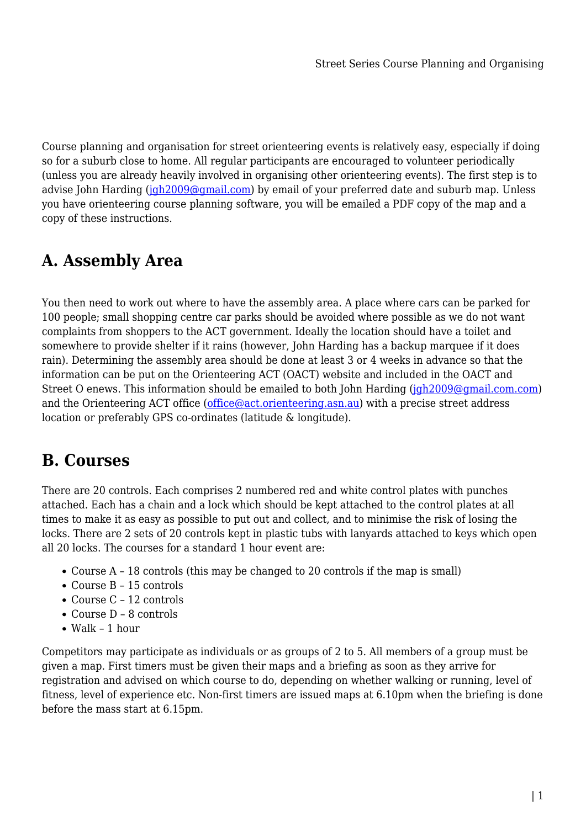Course planning and organisation for street orienteering events is relatively easy, especially if doing so for a suburb close to home. All regular participants are encouraged to volunteer periodically (unless you are already heavily involved in organising other orienteering events). The first step is to advise John Harding ( $jgh2009@qmail.com$ ) by email of your preferred date and suburb map. Unless you have orienteering course planning software, you will be emailed a PDF copy of the map and a copy of these instructions.

# **A. Assembly Area**

You then need to work out where to have the assembly area. A place where cars can be parked for 100 people; small shopping centre car parks should be avoided where possible as we do not want complaints from shoppers to the ACT government. Ideally the location should have a toilet and somewhere to provide shelter if it rains (however, John Harding has a backup marquee if it does rain). Determining the assembly area should be done at least 3 or 4 weeks in advance so that the information can be put on the Orienteering ACT (OACT) website and included in the OACT and Street O enews. This information should be emailed to both John Harding ([jgh2009@gmail.com.com\)](mailto:jgh2009@gmail.com.com) and the Orienteering ACT office ([office@act.orienteering.asn.au](mailto:office@act.orienteering.asn.au)) with a precise street address location or preferably GPS co-ordinates (latitude & longitude).

## **B. Courses**

There are 20 controls. Each comprises 2 numbered red and white control plates with punches attached. Each has a chain and a lock which should be kept attached to the control plates at all times to make it as easy as possible to put out and collect, and to minimise the risk of losing the locks. There are 2 sets of 20 controls kept in plastic tubs with lanyards attached to keys which open all 20 locks. The courses for a standard 1 hour event are:

- Course A 18 controls (this may be changed to 20 controls if the map is small)
- Course B 15 controls
- Course C 12 controls
- Course D 8 controls
- Walk 1 hour

Competitors may participate as individuals or as groups of 2 to 5. All members of a group must be given a map. First timers must be given their maps and a briefing as soon as they arrive for registration and advised on which course to do, depending on whether walking or running, level of fitness, level of experience etc. Non-first timers are issued maps at 6.10pm when the briefing is done before the mass start at 6.15pm.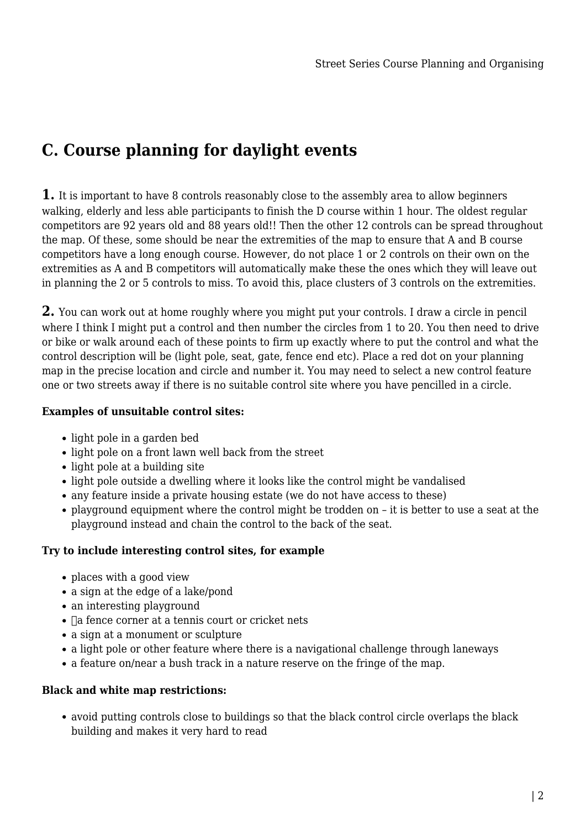# **C. Course planning for daylight events**

**1.** It is important to have 8 controls reasonably close to the assembly area to allow beginners walking, elderly and less able participants to finish the D course within 1 hour. The oldest regular competitors are 92 years old and 88 years old!! Then the other 12 controls can be spread throughout the map. Of these, some should be near the extremities of the map to ensure that A and B course competitors have a long enough course. However, do not place 1 or 2 controls on their own on the extremities as A and B competitors will automatically make these the ones which they will leave out in planning the 2 or 5 controls to miss. To avoid this, place clusters of 3 controls on the extremities.

**2.** You can work out at home roughly where you might put your controls. I draw a circle in pencil where I think I might put a control and then number the circles from 1 to 20. You then need to drive or bike or walk around each of these points to firm up exactly where to put the control and what the control description will be (light pole, seat, gate, fence end etc). Place a red dot on your planning map in the precise location and circle and number it. You may need to select a new control feature one or two streets away if there is no suitable control site where you have pencilled in a circle.

### **Examples of unsuitable control sites:**

- light pole in a garden bed
- light pole on a front lawn well back from the street
- light pole at a building site
- light pole outside a dwelling where it looks like the control might be vandalised
- any feature inside a private housing estate (we do not have access to these)
- playground equipment where the control might be trodden on it is better to use a seat at the playground instead and chain the control to the back of the seat.

### **Try to include interesting control sites, for example**

- places with a good view
- a sign at the edge of a lake/pond
- an interesting playground
- $\bullet$   $\Box$  a fence corner at a tennis court or cricket nets
- a sign at a monument or sculpture
- a light pole or other feature where there is a navigational challenge through laneways
- a feature on/near a bush track in a nature reserve on the fringe of the map.

### **Black and white map restrictions:**

avoid putting controls close to buildings so that the black control circle overlaps the black building and makes it very hard to read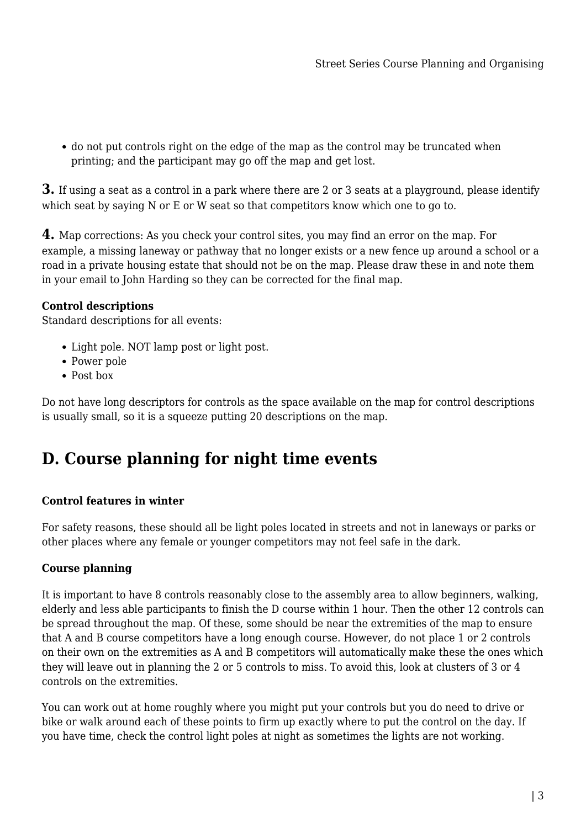do not put controls right on the edge of the map as the control may be truncated when printing; and the participant may go off the map and get lost.

**3.** If using a seat as a control in a park where there are 2 or 3 seats at a playground, please identify which seat by saying N or E or W seat so that competitors know which one to go to.

**4.** Map corrections: As you check your control sites, you may find an error on the map. For example, a missing laneway or pathway that no longer exists or a new fence up around a school or a road in a private housing estate that should not be on the map. Please draw these in and note them in your email to John Harding so they can be corrected for the final map.

### **Control descriptions**

Standard descriptions for all events:

- Light pole. NOT lamp post or light post.
- Power pole
- Post box

Do not have long descriptors for controls as the space available on the map for control descriptions is usually small, so it is a squeeze putting 20 descriptions on the map.

# **D. Course planning for night time events**

### **Control features in winter**

For safety reasons, these should all be light poles located in streets and not in laneways or parks or other places where any female or younger competitors may not feel safe in the dark.

### **Course planning**

It is important to have 8 controls reasonably close to the assembly area to allow beginners, walking, elderly and less able participants to finish the D course within 1 hour. Then the other 12 controls can be spread throughout the map. Of these, some should be near the extremities of the map to ensure that A and B course competitors have a long enough course. However, do not place 1 or 2 controls on their own on the extremities as A and B competitors will automatically make these the ones which they will leave out in planning the 2 or 5 controls to miss. To avoid this, look at clusters of 3 or 4 controls on the extremities.

You can work out at home roughly where you might put your controls but you do need to drive or bike or walk around each of these points to firm up exactly where to put the control on the day. If you have time, check the control light poles at night as sometimes the lights are not working.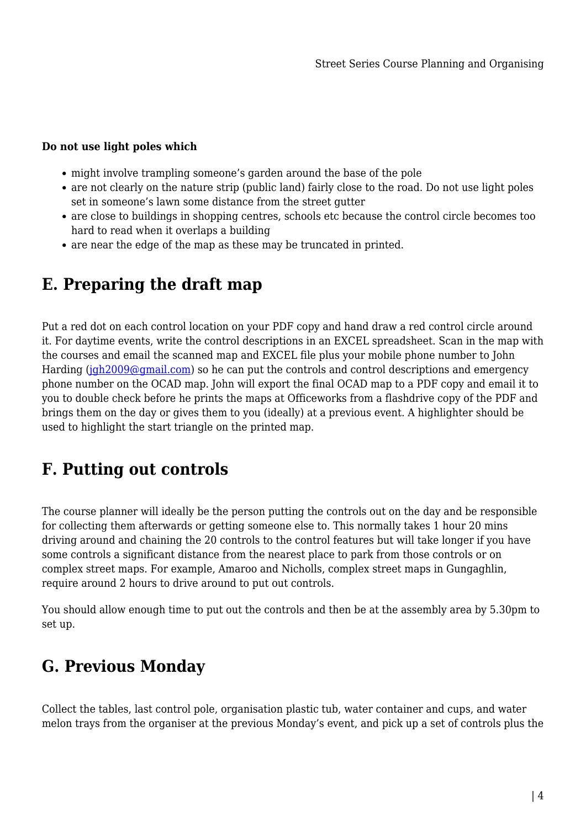### **Do not use light poles which**

- might involve trampling someone's garden around the base of the pole
- are not clearly on the nature strip (public land) fairly close to the road. Do not use light poles set in someone's lawn some distance from the street gutter
- are close to buildings in shopping centres, schools etc because the control circle becomes too hard to read when it overlaps a building
- are near the edge of the map as these may be truncated in printed.

# **E. Preparing the draft map**

Put a red dot on each control location on your PDF copy and hand draw a red control circle around it. For daytime events, write the control descriptions in an EXCEL spreadsheet. Scan in the map with the courses and email the scanned map and EXCEL file plus your mobile phone number to John Harding [\(jgh2009@gmail.com\)](mailto:jgh2009@gmail.com) so he can put the controls and control descriptions and emergency phone number on the OCAD map. John will export the final OCAD map to a PDF copy and email it to you to double check before he prints the maps at Officeworks from a flashdrive copy of the PDF and brings them on the day or gives them to you (ideally) at a previous event. A highlighter should be used to highlight the start triangle on the printed map.

# **F. Putting out controls**

The course planner will ideally be the person putting the controls out on the day and be responsible for collecting them afterwards or getting someone else to. This normally takes 1 hour 20 mins driving around and chaining the 20 controls to the control features but will take longer if you have some controls a significant distance from the nearest place to park from those controls or on complex street maps. For example, Amaroo and Nicholls, complex street maps in Gungaghlin, require around 2 hours to drive around to put out controls.

You should allow enough time to put out the controls and then be at the assembly area by 5.30pm to set up.

# **G. Previous Monday**

Collect the tables, last control pole, organisation plastic tub, water container and cups, and water melon trays from the organiser at the previous Monday's event, and pick up a set of controls plus the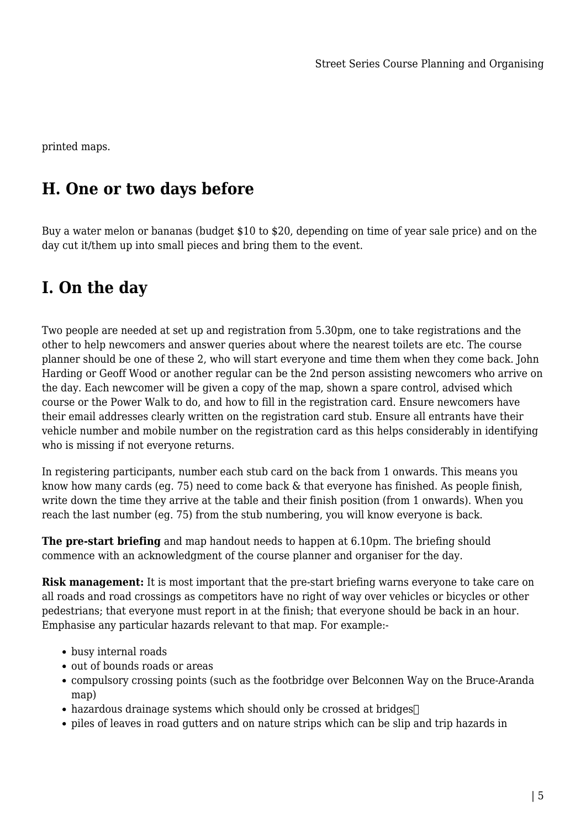printed maps.

# **H. One or two days before**

Buy a water melon or bananas (budget \$10 to \$20, depending on time of year sale price) and on the day cut it/them up into small pieces and bring them to the event.

## **I. On the day**

Two people are needed at set up and registration from 5.30pm, one to take registrations and the other to help newcomers and answer queries about where the nearest toilets are etc. The course planner should be one of these 2, who will start everyone and time them when they come back. John Harding or Geoff Wood or another regular can be the 2nd person assisting newcomers who arrive on the day. Each newcomer will be given a copy of the map, shown a spare control, advised which course or the Power Walk to do, and how to fill in the registration card. Ensure newcomers have their email addresses clearly written on the registration card stub. Ensure all entrants have their vehicle number and mobile number on the registration card as this helps considerably in identifying who is missing if not everyone returns.

In registering participants, number each stub card on the back from 1 onwards. This means you know how many cards (eg. 75) need to come back & that everyone has finished. As people finish, write down the time they arrive at the table and their finish position (from 1 onwards). When you reach the last number (eg. 75) from the stub numbering, you will know everyone is back.

**The pre-start briefing** and map handout needs to happen at 6.10pm. The briefing should commence with an acknowledgment of the course planner and organiser for the day.

**Risk management:** It is most important that the pre-start briefing warns everyone to take care on all roads and road crossings as competitors have no right of way over vehicles or bicycles or other pedestrians; that everyone must report in at the finish; that everyone should be back in an hour. Emphasise any particular hazards relevant to that map. For example:-

- busy internal roads
- out of bounds roads or areas
- compulsory crossing points (such as the footbridge over Belconnen Way on the Bruce-Aranda map)
- hazardous drainage systems which should only be crossed at bridges
- piles of leaves in road gutters and on nature strips which can be slip and trip hazards in